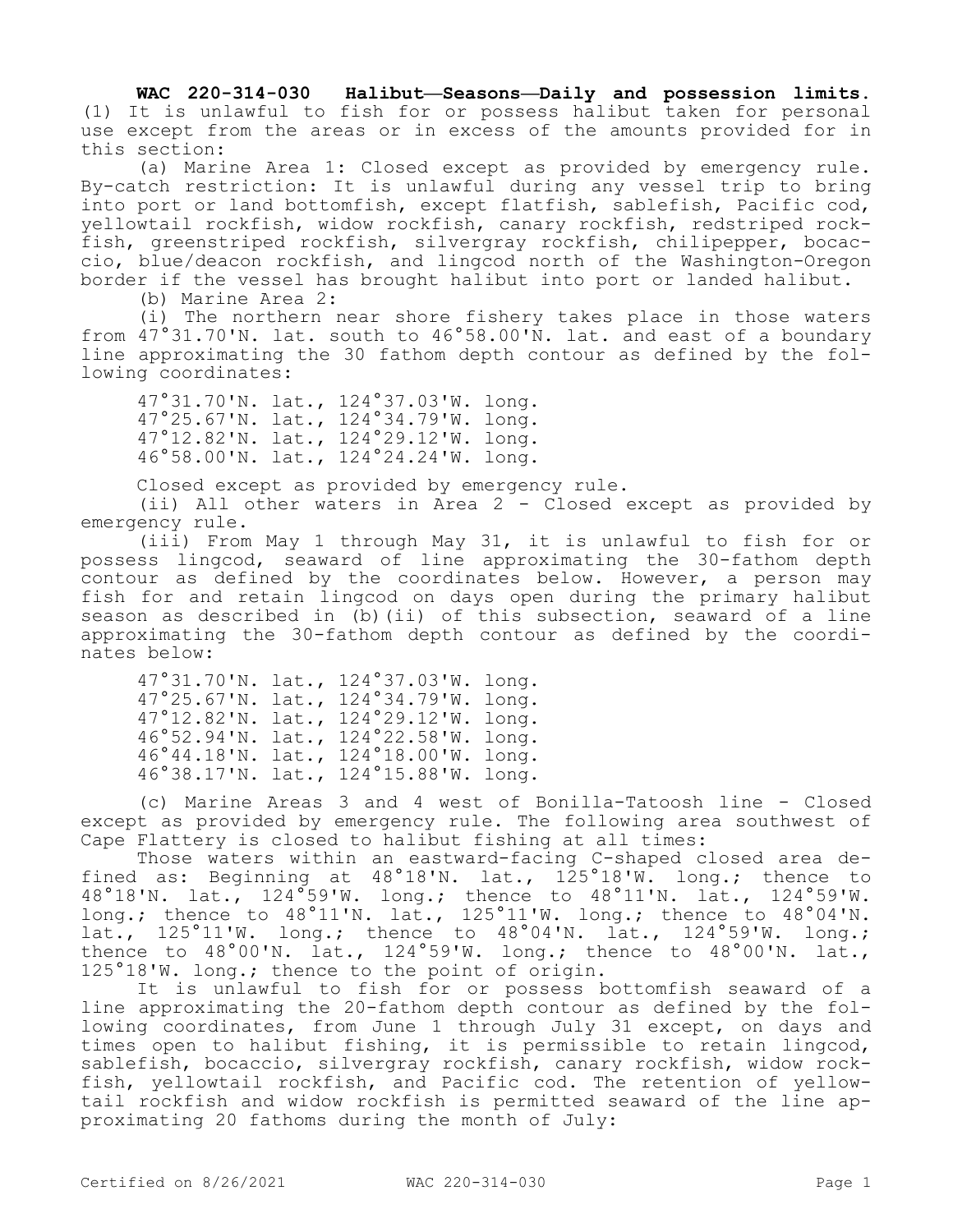**WAC 220-314-030 Halibut—Seasons—Daily and possession limits.**  (1) It is unlawful to fish for or possess halibut taken for personal use except from the areas or in excess of the amounts provided for in this section:

(a) Marine Area 1: Closed except as provided by emergency rule. By-catch restriction: It is unlawful during any vessel trip to bring into port or land bottomfish, except flatfish, sablefish, Pacific cod, yellowtail rockfish, widow rockfish, canary rockfish, redstriped rockfish, greenstriped rockfish, silvergray rockfish, chilipepper, bocaccio, blue/deacon rockfish, and lingcod north of the Washington-Oregon border if the vessel has brought halibut into port or landed halibut.

(b) Marine Area 2:

(i) The northern near shore fishery takes place in those waters from  $47^{\circ}31.70^{\prime}$ N. lat. south to  $46^{\circ}58.00^{\prime}$ N. lat. and east of a boundary line approximating the 30 fathom depth contour as defined by the following coordinates:

47°31.70'N. lat., 124°37.03'W. long. 47°25.67'N. lat., 124°34.79'W. long. 47°12.82'N. lat., 124°29.12'W. long. 46°58.00'N. lat., 124°24.24'W. long.

Closed except as provided by emergency rule.

(ii) All other waters in Area 2 - Closed except as provided by emergency rule.

(iii) From May 1 through May 31, it is unlawful to fish for or possess lingcod, seaward of line approximating the 30-fathom depth contour as defined by the coordinates below. However, a person may fish for and retain lingcod on days open during the primary halibut season as described in (b)(ii) of this subsection, seaward of a line approximating the 30-fathom depth contour as defined by the coordinates below:

47°31.70'N. lat., 124°37.03'W. long. 47°25.67'N. lat., 124°34.79'W. long. 47°12.82'N. lat., 124°29.12'W. long. 46°52.94'N. lat., 124°22.58'W. long. 46°44.18'N. lat., 124°18.00'W. long. 46°38.17'N. lat., 124°15.88'W. long.

(c) Marine Areas 3 and 4 west of Bonilla-Tatoosh line - Closed except as provided by emergency rule. The following area southwest of Cape Flattery is closed to halibut fishing at all times:

Those waters within an eastward-facing C-shaped closed area defined as: Beginning at 48°18'N. lat., 125°18'W. long.; thence to 48°18'N. lat., 124°59'W. long.; thence to 48°11'N. lat., 124°59'W. long.; thence to 48°11'N. lat., 125°11'W. long.; thence to 48°04'N. lat., 125°11'W. long.; thence to 48°04'N. lat., 124°59'W. long.; thence to 48°00'N. lat., 124°59'W. long.; thence to 48°00'N. lat., 125°18'W. long.; thence to the point of origin.

It is unlawful to fish for or possess bottomfish seaward of a line approximating the 20-fathom depth contour as defined by the following coordinates, from June 1 through July 31 except, on days and times open to halibut fishing, it is permissible to retain lingcod, sablefish, bocaccio, silvergray rockfish, canary rockfish, widow rockfish, yellowtail rockfish, and Pacific cod. The retention of yellowtail rockfish and widow rockfish is permitted seaward of the line approximating 20 fathoms during the month of July: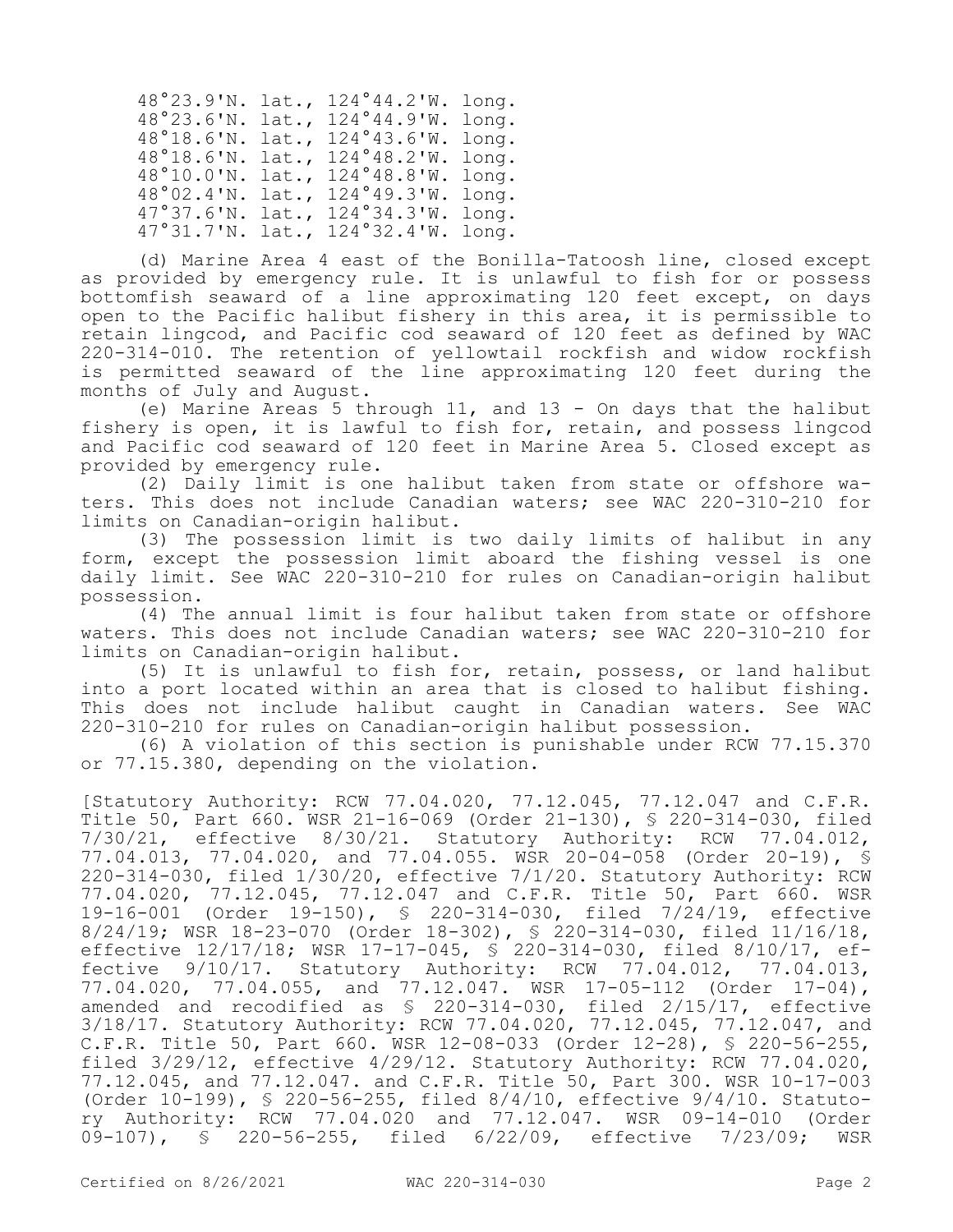| 48°23.9'N. lat.,    | 124°44.2'W. long.   |  |
|---------------------|---------------------|--|
| $48°23.6'$ N. lat., | 124°44.9'W. long.   |  |
| 48°18.6'N. lat.,    | 124°43.6'W. long.   |  |
| 48°18.6'N. lat.,    | $124°48.2'W.$ long. |  |
| 48°10.0'N. lat.,    | 124°48.8'W. long.   |  |
| $48°02.4'$ N. lat., | 124°49.3'W. long.   |  |
| $47°37.6'$ N. lat., | 124°34.3'W. long.   |  |
| 47°31.7'N. lat.,    | 124°32.4'W. long.   |  |

(d) Marine Area 4 east of the Bonilla-Tatoosh line, closed except as provided by emergency rule. It is unlawful to fish for or possess bottomfish seaward of a line approximating 120 feet except, on days open to the Pacific halibut fishery in this area, it is permissible to retain lingcod, and Pacific cod seaward of 120 feet as defined by WAC 220-314-010. The retention of yellowtail rockfish and widow rockfish is permitted seaward of the line approximating 120 feet during the months of July and August.

(e) Marine Areas 5 through 11, and 13 - On days that the halibut fishery is open, it is lawful to fish for, retain, and possess lingcod and Pacific cod seaward of 120 feet in Marine Area 5. Closed except as provided by emergency rule.

(2) Daily limit is one halibut taken from state or offshore waters. This does not include Canadian waters; see WAC 220-310-210 for limits on Canadian-origin halibut.

(3) The possession limit is two daily limits of halibut in any form, except the possession limit aboard the fishing vessel is one daily limit. See WAC 220-310-210 for rules on Canadian-origin halibut possession.

(4) The annual limit is four halibut taken from state or offshore waters. This does not include Canadian waters; see WAC 220-310-210 for limits on Canadian-origin halibut.

(5) It is unlawful to fish for, retain, possess, or land halibut into a port located within an area that is closed to halibut fishing. This does not include halibut caught in Canadian waters. See WAC 220-310-210 for rules on Canadian-origin halibut possession.

(6) A violation of this section is punishable under RCW 77.15.370 or 77.15.380, depending on the violation.

[Statutory Authority: RCW 77.04.020, 77.12.045, 77.12.047 and C.F.R. Title 50, Part 660. WSR 21-16-069 (Order 21-130), § 220-314-030, filed 7/30/21, effective 8/30/21. Statutory Authority: RCW 77.04.012, 77.04.013, 77.04.020, and 77.04.055. WSR 20-04-058 (Order 20-19), § 220-314-030, filed 1/30/20, effective 7/1/20. Statutory Authority: RCW 77.04.020, 77.12.045, 77.12.047 and C.F.R. Title 50, Part 660. WSR 19-16-001 (Order 19-150), § 220-314-030, filed 7/24/19, effective 8/24/19; WSR 18-23-070 (Order 18-302), § 220-314-030, filed 11/16/18, effective 12/17/18; WSR 17-17-045, § 220-314-030, filed 8/10/17, effective 9/10/17. Statutory Authority: RCW 77.04.012, 77.04.013, 77.04.020, 77.04.055, and 77.12.047. WSR 17-05-112 (Order 17-04), amended and recodified as § 220-314-030, filed 2/15/17, effective 3/18/17. Statutory Authority: RCW 77.04.020, 77.12.045, 77.12.047, and C.F.R. Title 50, Part 660. WSR 12-08-033 (Order 12-28), § 220-56-255, filed 3/29/12, effective 4/29/12. Statutory Authority: RCW 77.04.020, 77.12.045, and 77.12.047. and C.F.R. Title 50, Part 300. WSR 10-17-003 (Order 10-199), § 220-56-255, filed 8/4/10, effective 9/4/10. Statutory Authority: RCW 77.04.020 and 77.12.047. WSR 09-14-010 (Order 09-107), § 220-56-255, filed 6/22/09, effective 7/23/09; WSR